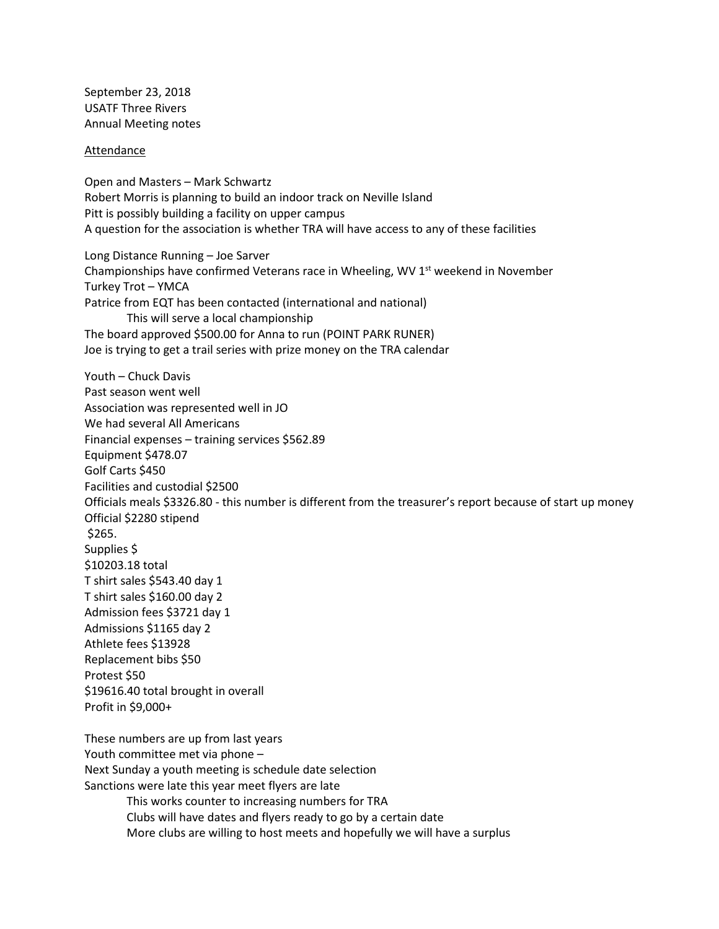September 23, 2018 USATF Three Rivers Annual Meeting notes

## Attendance

Open and Masters – Mark Schwartz Robert Morris is planning to build an indoor track on Neville Island Pitt is possibly building a facility on upper campus A question for the association is whether TRA will have access to any of these facilities Long Distance Running – Joe Sarver Championships have confirmed Veterans race in Wheeling, WV 1<sup>st</sup> weekend in November Turkey Trot – YMCA Patrice from EQT has been contacted (international and national) This will serve a local championship The board approved \$500.00 for Anna to run (POINT PARK RUNER) Joe is trying to get a trail series with prize money on the TRA calendar Youth – Chuck Davis Past season went well Association was represented well in JO We had several All Americans Financial expenses – training services \$562.89 Equipment \$478.07 Golf Carts \$450 Facilities and custodial \$2500 Officials meals \$3326.80 - this number is different from the treasurer's report because of start up money Official \$2280 stipend \$265. Supplies \$ \$10203.18 total T shirt sales \$543.40 day 1 T shirt sales \$160.00 day 2 Admission fees \$3721 day 1 Admissions \$1165 day 2 Athlete fees \$13928 Replacement bibs \$50 Protest \$50 \$19616.40 total brought in overall Profit in \$9,000+ These numbers are up from last years Youth committee met via phone – Next Sunday a youth meeting is schedule date selection Sanctions were late this year meet flyers are late This works counter to increasing numbers for TRA Clubs will have dates and flyers ready to go by a certain date

More clubs are willing to host meets and hopefully we will have a surplus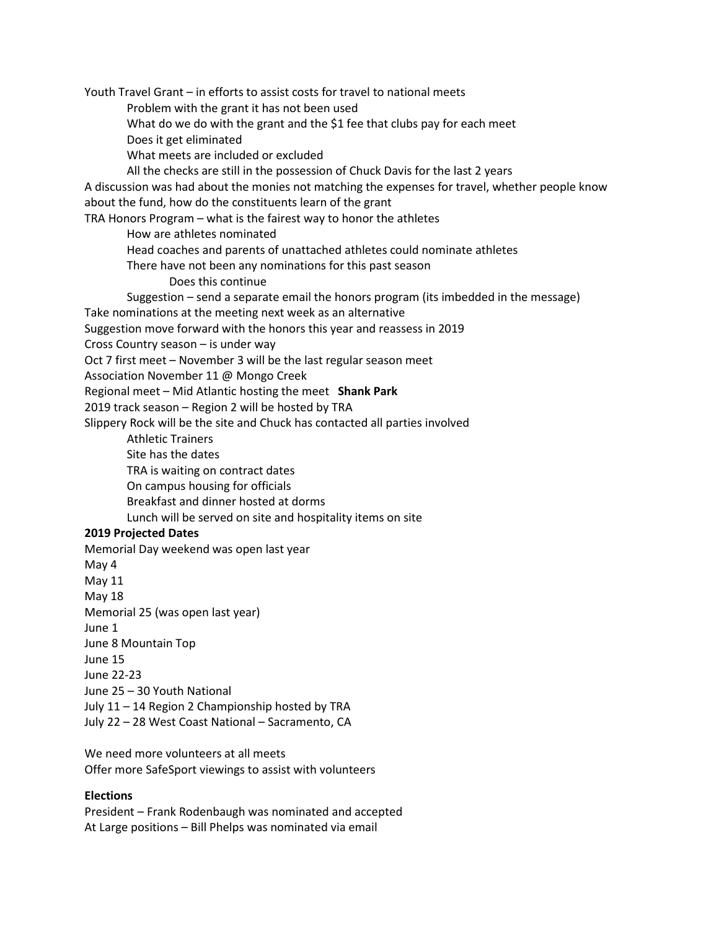Youth Travel Grant – in efforts to assist costs for travel to national meets

Problem with the grant it has not been used

What do we do with the grant and the \$1 fee that clubs pay for each meet

Does it get eliminated

What meets are included or excluded

All the checks are still in the possession of Chuck Davis for the last 2 years

A discussion was had about the monies not matching the expenses for travel, whether people know about the fund, how do the constituents learn of the grant

TRA Honors Program – what is the fairest way to honor the athletes

How are athletes nominated

Head coaches and parents of unattached athletes could nominate athletes

There have not been any nominations for this past season

Does this continue

Suggestion – send a separate email the honors program (its imbedded in the message) Take nominations at the meeting next week as an alternative

Suggestion move forward with the honors this year and reassess in 2019

Cross Country season – is under way

Oct 7 first meet – November 3 will be the last regular season meet

Association November 11 @ Mongo Creek

Regional meet – Mid Atlantic hosting the meet **Shank Park**

2019 track season – Region 2 will be hosted by TRA

Slippery Rock will be the site and Chuck has contacted all parties involved

Athletic Trainers

Site has the dates

TRA is waiting on contract dates

On campus housing for officials

Breakfast and dinner hosted at dorms

Lunch will be served on site and hospitality items on site

## **2019 Projected Dates**

Memorial Day weekend was open last year May 4 May 11 May 18 Memorial 25 (was open last year) June 1

June 8 Mountain Top

June 15

June 22-23

June 25 – 30 Youth National

July 11 – 14 Region 2 Championship hosted by TRA

July 22 – 28 West Coast National – Sacramento, CA

We need more volunteers at all meets Offer more SafeSport viewings to assist with volunteers

## **Elections**

President – Frank Rodenbaugh was nominated and accepted At Large positions – Bill Phelps was nominated via email